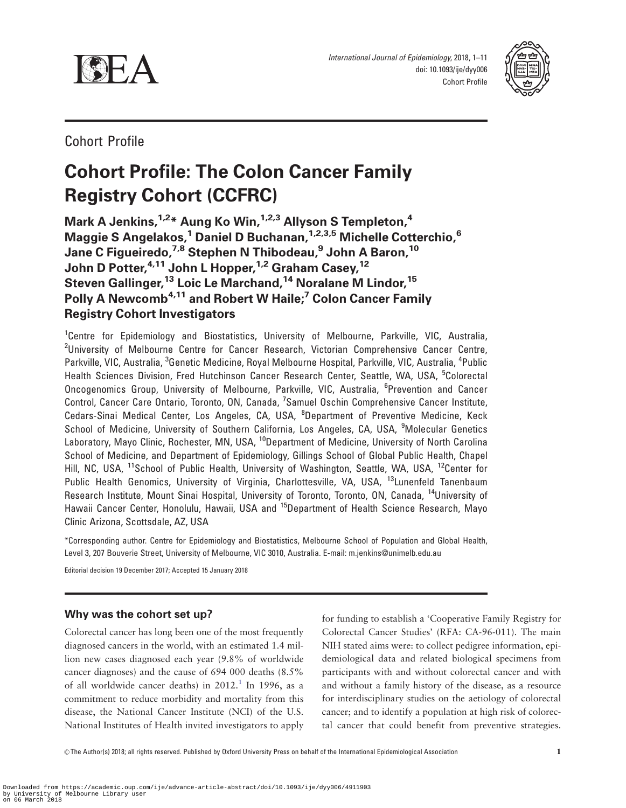<span id="page-0-0"></span>



Cohort Profile

# Cohort Profile: The Colon Cancer Family Registry Cohort (CCFRC)

Mark A Jenkins,  $1.2*$  Aung Ko Win,  $1.2*$  Allyson S Templeton,  $4$ Maggie S Angelakos,<sup>1</sup> Daniel D Buchanan, <sup>1,2,3,5</sup> Michelle Cotterchio,<sup>6</sup> Jane C Figueiredo, <sup>7,8</sup> Stephen N Thibodeau,<sup>9</sup> John A Baron, <sup>10</sup> John D Potter, <sup>4,11</sup> John L Hopper, <sup>1,2</sup> Graham Casey, <sup>12</sup> Steven Gallinger,<sup>13</sup> Loic Le Marchand,<sup>14</sup> Noralane M Lindor,<sup>15</sup> Polly A Newcomb<sup>4,11</sup> and Robert W Haile;<sup>7</sup> Colon Cancer Family Registry Cohort Investigators

<sup>1</sup>Centre for Epidemiology and Biostatistics, University of Melbourne, Parkville, VIC, Australia, <sup>2</sup>University of Melbourne Centre for Cancer Research, Victorian Comprehensive Cancer Centre, Parkville, VIC, Australia, <sup>3</sup>Genetic Medicine, Royal Melbourne Hospital, Parkville, VIC, Australia, <sup>4</sup>Public Health Sciences Division, Fred Hutchinson Cancer Research Center, Seattle, WA, USA, <sup>5</sup>Colorectal Oncogenomics Group, University of Melbourne, Parkville, VIC, Australia, <sup>6</sup>Prevention and Cancer Control, Cancer Care Ontario, Toronto, ON, Canada, <sup>7</sup>Samuel Oschin Comprehensive Cancer Institute, Cedars-Sinai Medical Center, Los Angeles, CA, USA, <sup>8</sup>Department of Preventive Medicine, Keck School of Medicine, University of Southern California, Los Angeles, CA, USA, <sup>9</sup>Molecular Genetics Laboratory, Mayo Clinic, Rochester, MN, USA, <sup>10</sup>Department of Medicine, University of North Carolina School of Medicine, and Department of Epidemiology, Gillings School of Global Public Health, Chapel Hill, NC, USA, <sup>11</sup>School of Public Health, University of Washington, Seattle, WA, USA, <sup>12</sup>Center for Public Health Genomics, University of Virginia, Charlottesville, VA, USA, <sup>13</sup>Lunenfeld Tanenbaum Research Institute, Mount Sinai Hospital, University of Toronto, Toronto, ON, Canada, 14University of Hawaii Cancer Center, Honolulu, Hawaii, USA and <sup>15</sup>Department of Health Science Research, Mayo Clinic Arizona, Scottsdale, AZ, USA

\*Corresponding author. Centre for Epidemiology and Biostatistics, Melbourne School of Population and Global Health, Level 3, 207 Bouverie Street, University of Melbourne, VIC 3010, Australia. E-mail: m.jenkins@unimelb.edu.au

Editorial decision 19 December 2017; Accepted 15 January 2018

# Why was the cohort set up?

Colorectal cancer has long been one of the most frequently diagnosed cancers in the world, with an estimated 1.4 million new cases diagnosed each year (9.8% of worldwide cancer diagnoses) and the cause of 694 000 deaths (8.5% of all worldwide cancer deaths) in  $2012<sup>1</sup>$  In 1996, as a commitment to reduce morbidity and mortality from this disease, the National Cancer Institute (NCI) of the U.S. National Institutes of Health invited investigators to apply

for funding to establish a 'Cooperative Family Registry for Colorectal Cancer Studies' (RFA: CA-96-011). The main NIH stated aims were: to collect pedigree information, epidemiological data and related biological specimens from participants with and without colorectal cancer and with and without a family history of the disease, as a resource for interdisciplinary studies on the aetiology of colorectal cancer; and to identify a population at high risk of colorectal cancer that could benefit from preventive strategies.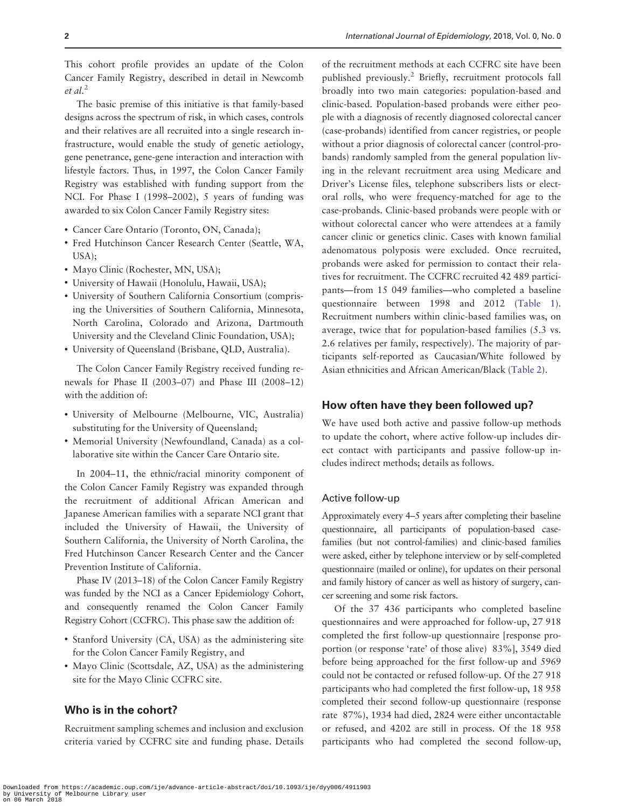<span id="page-1-0"></span>This cohort profile provides an update of the Colon Cancer Family Registry, described in detail in Newcomb  $et$  al.<sup>[2](#page-9-0)</sup>

The basic premise of this initiative is that family-based designs across the spectrum of risk, in which cases, controls and their relatives are all recruited into a single research infrastructure, would enable the study of genetic aetiology, gene penetrance, gene-gene interaction and interaction with lifestyle factors. Thus, in 1997, the Colon Cancer Family Registry was established with funding support from the NCI. For Phase I (1998–2002), 5 years of funding was awarded to six Colon Cancer Family Registry sites:

- Cancer Care Ontario (Toronto, ON, Canada);
- Fred Hutchinson Cancer Research Center (Seattle, WA, USA);
- Mayo Clinic (Rochester, MN, USA);
- University of Hawaii (Honolulu, Hawaii, USA);
- University of Southern California Consortium (comprising the Universities of Southern California, Minnesota, North Carolina, Colorado and Arizona, Dartmouth University and the Cleveland Clinic Foundation, USA);
- University of Queensland (Brisbane, QLD, Australia).

The Colon Cancer Family Registry received funding renewals for Phase II (2003–07) and Phase III (2008–12) with the addition of:

- University of Melbourne (Melbourne, VIC, Australia) substituting for the University of Queensland;
- Memorial University (Newfoundland, Canada) as a collaborative site within the Cancer Care Ontario site.

In 2004–11, the ethnic/racial minority component of the Colon Cancer Family Registry was expanded through the recruitment of additional African American and Japanese American families with a separate NCI grant that included the University of Hawaii, the University of Southern California, the University of North Carolina, the Fred Hutchinson Cancer Research Center and the Cancer Prevention Institute of California.

Phase IV (2013–18) of the Colon Cancer Family Registry was funded by the NCI as a Cancer Epidemiology Cohort, and consequently renamed the Colon Cancer Family Registry Cohort (CCFRC). This phase saw the addition of:

- Stanford University (CA, USA) as the administering site for the Colon Cancer Family Registry, and
- Mayo Clinic (Scottsdale, AZ, USA) as the administering site for the Mayo Clinic CCFRC site.

# Who is in the cohort?

Recruitment sampling schemes and inclusion and exclusion criteria varied by CCFRC site and funding phase. Details of the recruitment methods at each CCFRC site have been published previously.[2](#page-9-0) Briefly, recruitment protocols fall broadly into two main categories: population-based and clinic-based. Population-based probands were either people with a diagnosis of recently diagnosed colorectal cancer (case-probands) identified from cancer registries, or people without a prior diagnosis of colorectal cancer (control-probands) randomly sampled from the general population living in the relevant recruitment area using Medicare and Driver's License files, telephone subscribers lists or electoral rolls, who were frequency-matched for age to the case-probands. Clinic-based probands were people with or without colorectal cancer who were attendees at a family cancer clinic or genetics clinic. Cases with known familial adenomatous polyposis were excluded. Once recruited, probands were asked for permission to contact their relatives for recruitment. The CCFRC recruited 42 489 participants—from 15 049 families—who completed a baseline questionnaire between 1998 and 2012 ([Table 1](#page-2-0)). Recruitment numbers within clinic-based families was, on average, twice that for population-based families (5.3 vs. 2.6 relatives per family, respectively). The majority of participants self-reported as Caucasian/White followed by Asian ethnicities and African American/Black [\(Table 2](#page-2-0)).

# How often have they been followed up?

We have used both active and passive follow-up methods to update the cohort, where active follow-up includes direct contact with participants and passive follow-up includes indirect methods; details as follows.

# Active follow-up

Approximately every 4–5 years after completing their baseline questionnaire, all participants of population-based casefamilies (but not control-families) and clinic-based families were asked, either by telephone interview or by self-completed questionnaire (mailed or online), for updates on their personal and family history of cancer as well as history of surgery, cancer screening and some risk factors.

Of the 37 436 participants who completed baseline questionnaires and were approached for follow-up, 27 918 completed the first follow-up questionnaire [response proportion (or response 'rate' of those alive) 83%], 3549 died before being approached for the first follow-up and 5969 could not be contacted or refused follow-up. Of the 27 918 participants who had completed the first follow-up, 18 958 completed their second follow-up questionnaire (response rate 87%), 1934 had died, 2824 were either uncontactable or refused, and 4202 are still in process. Of the 18 958 participants who had completed the second follow-up,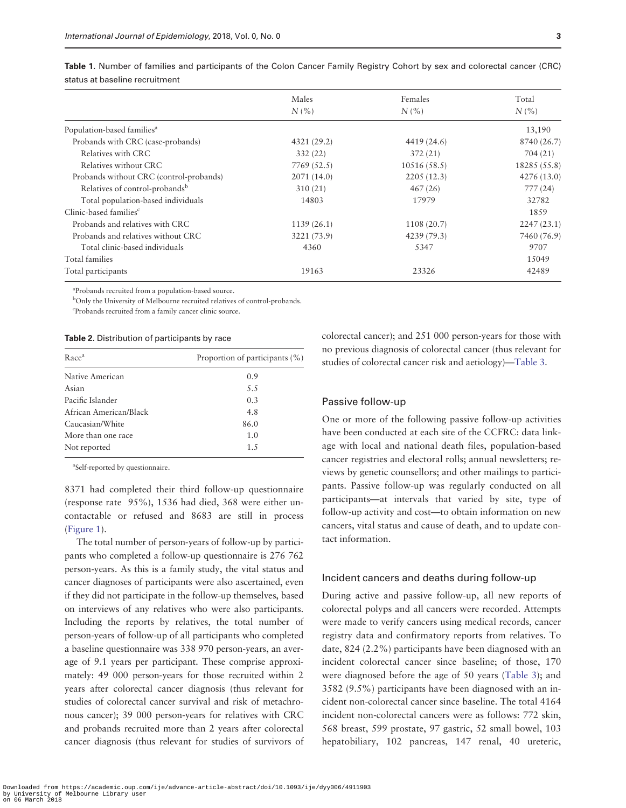|                                            | Males<br>N(% | Females     | Total<br>N(% |  |
|--------------------------------------------|--------------|-------------|--------------|--|
|                                            |              | N(%         |              |  |
| Population-based families <sup>a</sup>     |              |             | 13,190       |  |
| Probands with CRC (case-probands)          | 4321 (29.2)  | 4419 (24.6) | 8740 (26.7)  |  |
| Relatives with CRC                         | 332(22)      | 372(21)     | 704 (21)     |  |
| Relatives without CRC                      | 7769 (52.5)  | 10516(58.5) | 18285 (55.8) |  |
| Probands without CRC (control-probands)    | 2071 (14.0)  | 2205(12.3)  | 4276 (13.0)  |  |
| Relatives of control-probands <sup>b</sup> | 310(21)      | 467(26)     | 777(24)      |  |
| Total population-based individuals         | 14803        | 17979       | 32782        |  |
| Clinic-based families <sup>c</sup>         |              |             | 1859         |  |
| Probands and relatives with CRC            | 1139(26.1)   | 1108 (20.7) | 2247(23.1)   |  |
| Probands and relatives without CRC         | 3221 (73.9)  | 4239 (79.3) | 7460 (76.9)  |  |
| Total clinic-based individuals             | 4360         | 5347        | 9707         |  |
| Total families                             |              |             | 15049        |  |
| Total participants                         | 19163        | 23326       | 42489        |  |

<span id="page-2-0"></span>Table 1. Number of families and participants of the Colon Cancer Family Registry Cohort by sex and colorectal cancer (CRC) status at baseline recruitment

a Probands recruited from a population-based source.

<sup>b</sup>Only the University of Melbourne recruited relatives of control-probands.

c Probands recruited from a family cancer clinic source.

#### Table 2. Distribution of participants by race

| Race <sup>a</sup>      | Proportion of participants (%) |  |  |
|------------------------|--------------------------------|--|--|
| Native American        | 0.9                            |  |  |
| Asian                  | 5.5                            |  |  |
| Pacific Islander       | 0.3                            |  |  |
| African American/Black | 4.8                            |  |  |
| Caucasian/White        | 86.0                           |  |  |
| More than one race     | 1.0                            |  |  |
| Not reported           | 1.5                            |  |  |

a Self-reported by questionnaire.

8371 had completed their third follow-up questionnaire (response rate 95%), 1536 had died, 368 were either uncontactable or refused and 8683 are still in process [\(Figure 1\)](#page-3-0).

The total number of person-years of follow-up by participants who completed a follow-up questionnaire is 276 762 person-years. As this is a family study, the vital status and cancer diagnoses of participants were also ascertained, even if they did not participate in the follow-up themselves, based on interviews of any relatives who were also participants. Including the reports by relatives, the total number of person-years of follow-up of all participants who completed a baseline questionnaire was 338 970 person-years, an average of 9.1 years per participant. These comprise approximately: 49 000 person-years for those recruited within 2 years after colorectal cancer diagnosis (thus relevant for studies of colorectal cancer survival and risk of metachronous cancer); 39 000 person-years for relatives with CRC and probands recruited more than 2 years after colorectal cancer diagnosis (thus relevant for studies of survivors of colorectal cancer); and 251 000 person-years for those with no previous diagnosis of colorectal cancer (thus relevant for studies of colorectal cancer risk and aetiology)—[Table 3](#page-3-0).

## Passive follow-up

One or more of the following passive follow-up activities have been conducted at each site of the CCFRC: data linkage with local and national death files, population-based cancer registries and electoral rolls; annual newsletters; reviews by genetic counsellors; and other mailings to participants. Passive follow-up was regularly conducted on all participants—at intervals that varied by site, type of follow-up activity and cost—to obtain information on new cancers, vital status and cause of death, and to update contact information.

## Incident cancers and deaths during follow-up

During active and passive follow-up, all new reports of colorectal polyps and all cancers were recorded. Attempts were made to verify cancers using medical records, cancer registry data and confirmatory reports from relatives. To date, 824 (2.2%) participants have been diagnosed with an incident colorectal cancer since baseline; of those, 170 were diagnosed before the age of 50 years [\(Table 3](#page-3-0)); and 3582 (9.5%) participants have been diagnosed with an incident non-colorectal cancer since baseline. The total 4164 incident non-colorectal cancers were as follows: 772 skin, 568 breast, 599 prostate, 97 gastric, 52 small bowel, 103 hepatobiliary, 102 pancreas, 147 renal, 40 ureteric,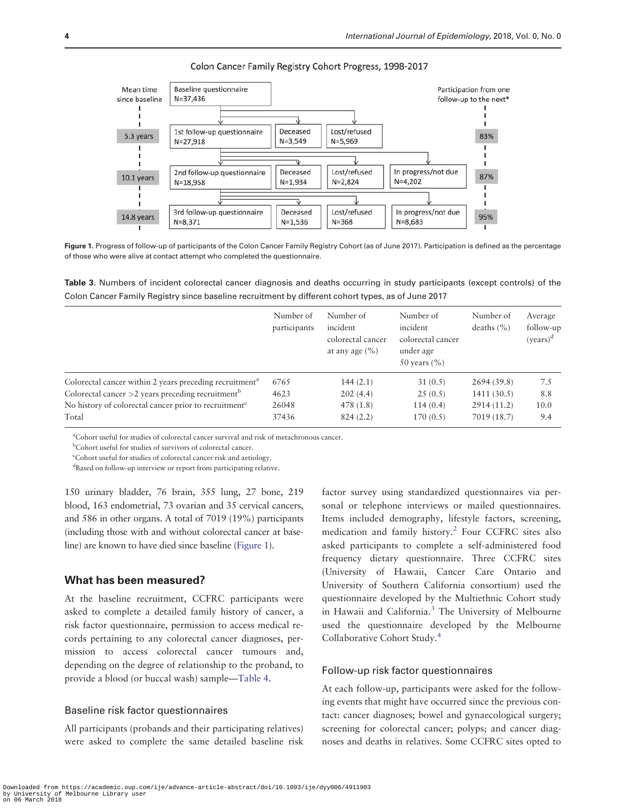Colon Cancer Family Registry Cohort Progress, 1998-2017 **Baseline questionnaire** 

<span id="page-3-0"></span>

Figure 1. Progress of follow-up of participants of the Colon Cancer Family Registry Cohort (as of June 2017). Participation is defined as the percentage of those who were alive at contact attempt who completed the questionnaire.

Table 3. Numbers of incident colorectal cancer diagnosis and deaths occurring in study participants (except controls) of the Colon Cancer Family Registry since baseline recruitment by different cohort types, as of June 2017

|                                                                     | Number of<br>participants | Number of<br>incident<br>colorectal cancer<br>at any age $(\% )$ | Number of<br>incident<br>colorectal cancer<br>under age<br>50 years $(\% )$ | Number of<br>deaths $(\% )$ | Average<br>follow-up<br>$(years)^d$ |
|---------------------------------------------------------------------|---------------------------|------------------------------------------------------------------|-----------------------------------------------------------------------------|-----------------------------|-------------------------------------|
| Colorectal cancer within 2 years preceding recruitment <sup>a</sup> | 6765                      | 144(2.1)                                                         | 31(0.5)                                                                     | 2694 (39.8)                 | 7.5                                 |
| Colorectal cancer $>2$ years preceding recruitment <sup>b</sup>     | 4623                      | 202(4.4)                                                         | 25(0.5)                                                                     | 1411(30.5)                  | 8.8                                 |
| No history of colorectal cancer prior to recruitment <sup>c</sup>   | 26048                     | 478(1.8)                                                         | 114(0.4)                                                                    | 2914 (11.2)                 | 10.0                                |
| Total                                                               | 37436                     | 824(2.2)                                                         | 170(0.5)                                                                    | 7019 (18.7)                 | 9.4                                 |

a Cohort useful for studies of colorectal cancer survival and risk of metachronous cancer.

b Cohort useful for studies of survivors of colorectal cancer.

c Cohort useful for studies of colorectal cancer risk and aetiology.

d Based on follow-up interview or report from participating relative.

150 urinary bladder, 76 brain, 355 lung, 27 bone, 219 blood, 163 endometrial, 73 ovarian and 35 cervical cancers, and 586 in other organs. A total of 7019 (19%) participants (including those with and without colorectal cancer at baseline) are known to have died since baseline (Figure 1).

# What has been measured?

At the baseline recruitment, CCFRC participants were asked to complete a detailed family history of cancer, a risk factor questionnaire, permission to access medical records pertaining to any colorectal cancer diagnoses, permission to access colorectal cancer tumours and, depending on the degree of relationship to the proband, to provide a blood (or buccal wash) sample—[Table 4.](#page-4-0)

## Baseline risk factor questionnaires

All participants (probands and their participating relatives) were asked to complete the same detailed baseline risk

factor survey using standardized questionnaires via personal or telephone interviews or mailed questionnaires. Items included demography, lifestyle factors, screening, medication and family history[.2](#page-9-0) Four CCFRC sites also asked participants to complete a self-administered food frequency dietary questionnaire. Three CCFRC sites (University of Hawaii, Cancer Care Ontario and University of Southern California consortium) used the questionnaire developed by the Multiethnic Cohort study in Hawaii and California.<sup>[3](#page-9-0)</sup> The University of Melbourne used the questionnaire developed by the Melbourne Collaborative Cohort Study.[4](#page-9-0)

#### Follow-up risk factor questionnaires

At each follow-up, participants were asked for the following events that might have occurred since the previous contact: cancer diagnoses; bowel and gynaecological surgery; screening for colorectal cancer; polyps; and cancer diagnoses and deaths in relatives. Some CCFRC sites opted to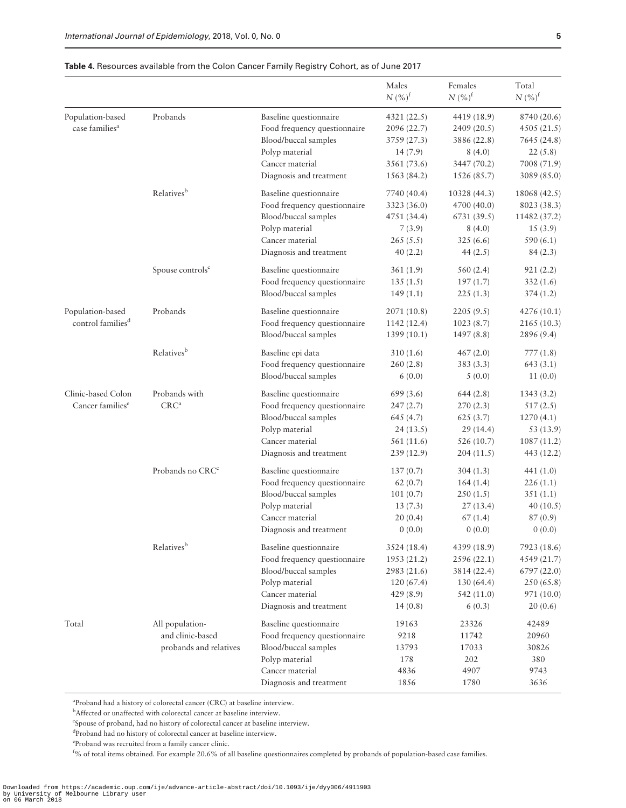|                               |                              |                              | Males<br>$N$ $(\%)^{\text{f}}$ | Females<br>$N (%)^f$ | Total<br>$N({\%})^{\text{f}}$ |
|-------------------------------|------------------------------|------------------------------|--------------------------------|----------------------|-------------------------------|
| Population-based              | Probands                     | Baseline questionnaire       | 4321(22.5)                     | 4419 (18.9)          | 8740 (20.6)                   |
| case families <sup>a</sup>    |                              | Food frequency questionnaire | 2096 (22.7)                    | 2409(20.5)           | 4505 (21.5)                   |
|                               |                              | Blood/buccal samples         | 3759 (27.3)                    | 3886 (22.8)          | 7645 (24.8)                   |
|                               |                              | Polyp material               | 14 (7.9)                       | 8(4.0)               | 22(5.8)                       |
|                               |                              | Cancer material              | 3561 (73.6)                    | 3447 (70.2)          | 7008 (71.9)                   |
|                               |                              | Diagnosis and treatment      | 1563 (84.2)                    | 1526 (85.7)          | 3089 (85.0)                   |
|                               | Relatives <sup>b</sup>       | Baseline questionnaire       | 7740 (40.4)                    | 10328 (44.3)         | 18068 (42.5)                  |
|                               |                              | Food frequency questionnaire | 3323 (36.0)                    | 4700 (40.0)          | 8023 (38.3)                   |
|                               |                              | Blood/buccal samples         | 4751 (34.4)                    | 6731(39.5)           | 11482 (37.2)                  |
|                               |                              | Polyp material               | 7(3.9)                         | 8(4.0)               | 15(3.9)                       |
|                               |                              | Cancer material              | 265(5.5)                       | 325(6.6)             | 590(6.1)                      |
|                               |                              | Diagnosis and treatment      | 40(2.2)                        | 44 $(2.5)$           | 84(2.3)                       |
|                               | Spouse controls <sup>c</sup> | Baseline questionnaire       | 361(1.9)                       | 560(2.4)             | 921(2.2)                      |
|                               |                              | Food frequency questionnaire | 135(1.5)                       | 197(1.7)             | 332(1.6)                      |
|                               |                              | Blood/buccal samples         | 149(1.1)                       | 225(1.3)             | 374(1.2)                      |
| Population-based              | Probands                     | Baseline questionnaire       | 2071 (10.8)                    | 2205(9.5)            | 4276 (10.1)                   |
| control families <sup>d</sup> |                              | Food frequency questionnaire | 1142 (12.4)                    | 1023(8.7)            | 2165 (10.3)                   |
|                               |                              | Blood/buccal samples         | 1399 (10.1)                    | 1497(8.8)            | 2896 (9.4)                    |
|                               | Relatives <sup>b</sup>       | Baseline epi data            | 310(1.6)                       | 467(2.0)             | 777(1.8)                      |
|                               |                              | Food frequency questionnaire | 260(2.8)                       | 383 (3.3)            | 643(3.1)                      |
|                               |                              | Blood/buccal samples         | 6(0.0)                         | 5(0.0)               | 11(0.0)                       |
| Clinic-based Colon            | Probands with                | Baseline questionnaire       | 699(3.6)                       | 644(2.8)             | 1343(3.2)                     |
| Cancer families <sup>e</sup>  | CRC <sup>a</sup>             | Food frequency questionnaire | 247(2.7)                       | 270(2.3)             | 517(2.5)                      |
|                               |                              | Blood/buccal samples         | 645 (4.7)                      | 625(3.7)             | 1270(4.1)                     |
|                               |                              | Polyp material               | 24(13.5)                       | 29(14.4)             | 53 (13.9)                     |
|                               |                              | Cancer material              | 561 (11.6)                     | 526 (10.7)           | 1087 (11.2)                   |
|                               |                              | Diagnosis and treatment      | 239(12.9)                      | 204(11.5)            | 443 (12.2)                    |
|                               | Probands no CRC <sup>c</sup> | Baseline questionnaire       | 137(0.7)                       | 304(1.3)             | 441 $(1.0)$                   |
|                               |                              | Food frequency questionnaire | 62(0.7)                        | 164(1.4)             | 226(1.1)                      |
|                               |                              | Blood/buccal samples         | 101(0.7)                       | 250(1.5)             | 351(1.1)                      |
|                               |                              | Polyp material               | 13(7.3)                        | 27(13.4)             | 40(10.5)                      |
|                               |                              | Cancer material              | 20(0.4)                        | 67(1.4)              | 87(0.9)                       |
|                               |                              | Diagnosis and treatment      | 0(0.0)                         | 0(0.0)               | 0(0.0)                        |
|                               | Relatives <sup>b</sup>       | Baseline questionnaire       | 3524 (18.4)                    | 4399 (18.9)          | 7923 (18.6)                   |
|                               |                              | Food frequency questionnaire | 1953 (21.2)                    | 2596(22.1)           | 4549 (21.7)                   |
|                               |                              | Blood/buccal samples         | 2983 (21.6)                    | 3814 (22.4)          | 6797 (22.0)                   |
|                               |                              | Polyp material               | 120(67.4)                      | 130 (64.4)           | 250 (65.8)                    |
|                               |                              | Cancer material              | 429(8.9)                       | 542 (11.0)           | 971 (10.0)                    |
|                               |                              | Diagnosis and treatment      | 14(0.8)                        | 6(0.3)               | 20(0.6)                       |
| Total                         | All population-              | Baseline questionnaire       | 19163                          | 23326                | 42489                         |
|                               | and clinic-based             | Food frequency questionnaire | 9218                           | 11742                | 20960                         |
|                               | probands and relatives       | Blood/buccal samples         | 13793                          | 17033                | 30826                         |
|                               |                              | Polyp material               | 178                            | 202                  | 380                           |
|                               |                              | Cancer material              | 4836                           | 4907                 | 9743                          |
|                               |                              | Diagnosis and treatment      | 1856                           | 1780                 | 3636                          |

## <span id="page-4-0"></span>Table 4. Resources available from the Colon Cancer Family Registry Cohort, as of June 2017

<sup>a</sup>Proband had a history of colorectal cancer (CRC) at baseline interview.

<sup>b</sup>Affected or unaffected with colorectal cancer at baseline interview.

c Spouse of proband, had no history of colorectal cancer at baseline interview.

d Proband had no history of colorectal cancer at baseline interview.

e Proband was recruited from a family cancer clinic.

f % of total items obtained. For example 20.6% of all baseline questionnaires completed by probands of population-based case families.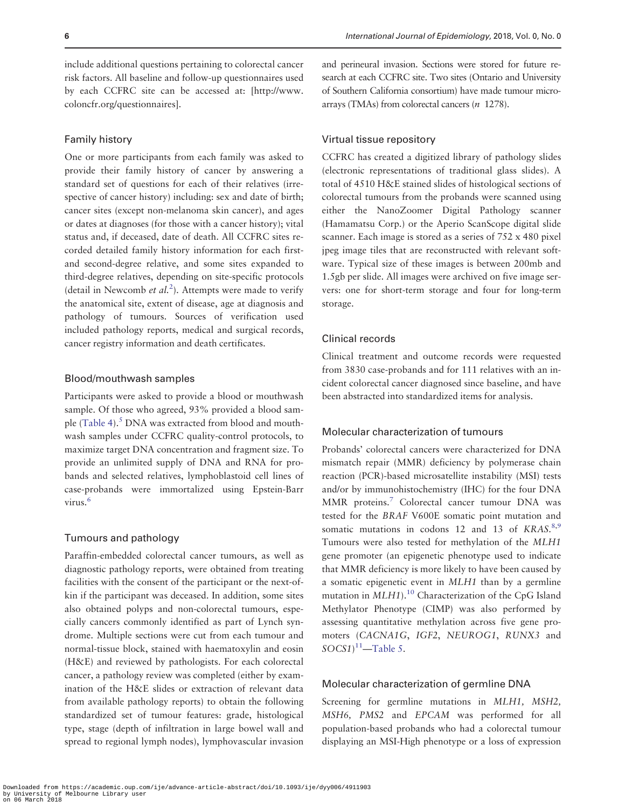<span id="page-5-0"></span>include additional questions pertaining to colorectal cancer risk factors. All baseline and follow-up questionnaires used by each CCFRC site can be accessed at: [[http://www.](http://www.coloncfr.org/questionnaires) [coloncfr.org/questionnaires\]](http://www.coloncfr.org/questionnaires).

# Family history

One or more participants from each family was asked to provide their family history of cancer by answering a standard set of questions for each of their relatives (irrespective of cancer history) including: sex and date of birth; cancer sites (except non-melanoma skin cancer), and ages or dates at diagnoses (for those with a cancer history); vital status and, if deceased, date of death. All CCFRC sites recorded detailed family history information for each firstand second-degree relative, and some sites expanded to third-degree relatives, depending on site-specific protocols (detail in Newcomb et  $al$ <sup>[2](#page-9-0)</sup>). Attempts were made to verify the anatomical site, extent of disease, age at diagnosis and pathology of tumours. Sources of verification used included pathology reports, medical and surgical records, cancer registry information and death certificates.

#### Blood/mouthwash samples

Participants were asked to provide a blood or mouthwash sample. Of those who agreed, 93% provided a blood sam-ple [\(Table 4\)](#page-4-0). $5$  DNA was extracted from blood and mouthwash samples under CCFRC quality-control protocols, to maximize target DNA concentration and fragment size. To provide an unlimited supply of DNA and RNA for probands and selected relatives, lymphoblastoid cell lines of case-probands were immortalized using Epstein-Barr virus.<sup>[6](#page-9-0)</sup>

#### Tumours and pathology

Paraffin-embedded colorectal cancer tumours, as well as diagnostic pathology reports, were obtained from treating facilities with the consent of the participant or the next-ofkin if the participant was deceased. In addition, some sites also obtained polyps and non-colorectal tumours, especially cancers commonly identified as part of Lynch syndrome. Multiple sections were cut from each tumour and normal-tissue block, stained with haematoxylin and eosin (H&E) and reviewed by pathologists. For each colorectal cancer, a pathology review was completed (either by examination of the H&E slides or extraction of relevant data from available pathology reports) to obtain the following standardized set of tumour features: grade, histological type, stage (depth of infiltration in large bowel wall and spread to regional lymph nodes), lymphovascular invasion

and perineural invasion. Sections were stored for future research at each CCFRC site. Two sites (Ontario and University of Southern California consortium) have made tumour microarrays (TMAs) from colorectal cancers (n 1278).

# Virtual tissue repository

CCFRC has created a digitized library of pathology slides (electronic representations of traditional glass slides). A total of 4510 H&E stained slides of histological sections of colorectal tumours from the probands were scanned using either the NanoZoomer Digital Pathology scanner (Hamamatsu Corp.) or the Aperio ScanScope digital slide scanner. Each image is stored as a series of 752 x 480 pixel jpeg image tiles that are reconstructed with relevant software. Typical size of these images is between 200mb and 1.5gb per slide. All images were archived on five image servers: one for short-term storage and four for long-term storage.

# Clinical records

Clinical treatment and outcome records were requested from 3830 case-probands and for 111 relatives with an incident colorectal cancer diagnosed since baseline, and have been abstracted into standardized items for analysis.

# Molecular characterization of tumours

Probands' colorectal cancers were characterized for DNA mismatch repair (MMR) deficiency by polymerase chain reaction (PCR)-based microsatellite instability (MSI) tests and/or by immunohistochemistry (IHC) for the four DNA MMR proteins[.7](#page-9-0) Colorectal cancer tumour DNA was tested for the BRAF V600E somatic point mutation and somatic mutations in codons  $12$  and  $13$  of KRAS.<sup>[8,9](#page-9-0)</sup> Tumours were also tested for methylation of the MLH1 gene promoter (an epigenetic phenotype used to indicate that MMR deficiency is more likely to have been caused by a somatic epigenetic event in MLH1 than by a germline mutation in  $MLH1$ ).<sup>[10](#page-9-0)</sup> Characterization of the CpG Island Methylator Phenotype (CIMP) was also performed by assessing quantitative methylation across five gene promoters (CACNA1G, IGF2, NEUROG1, RUNX3 and  $SOCS1$ <sup>[11](#page-9-0)</sup>[—Table 5](#page-6-0).

# Molecular characterization of germline DNA

Screening for germline mutations in MLH1, MSH2, MSH6, PMS2 and EPCAM was performed for all population-based probands who had a colorectal tumour displaying an MSI-High phenotype or a loss of expression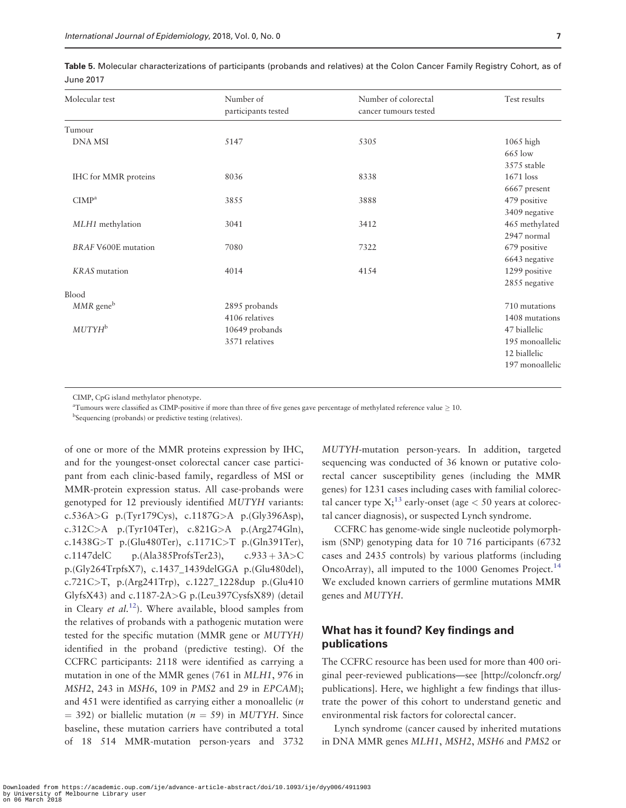<span id="page-6-0"></span>

| Table 5. Molecular characterizations of participants (probands and relatives) at the Colon Cancer Family Registry Cohort, as of |  |  |
|---------------------------------------------------------------------------------------------------------------------------------|--|--|
| June 2017                                                                                                                       |  |  |

| Number of<br>participants tested | Number of colorectal<br>cancer tumours tested | Test results             |
|----------------------------------|-----------------------------------------------|--------------------------|
|                                  |                                               |                          |
| 5147                             | 5305                                          | $1065$ high              |
|                                  |                                               | 665 low                  |
|                                  |                                               | 3575 stable              |
| 8036                             | 8338                                          | $1671$ loss              |
|                                  |                                               | $6667\,\mathrm{present}$ |
| 3855                             | 3888                                          | 479 positive             |
|                                  |                                               | 3409 negative            |
| 3041                             | 3412                                          | 465 methylated           |
|                                  |                                               | 2947 normal              |
| 7080                             | 7322                                          | 679 positive             |
|                                  |                                               | 6643 negative            |
| 4014                             | 4154                                          | 1299 positive            |
|                                  |                                               | 2855 negative            |
|                                  |                                               |                          |
| 2895 probands                    |                                               | 710 mutations            |
| 4106 relatives                   |                                               | 1408 mutations           |
| 10649 probands                   |                                               | 47 biallelic             |
| 3571 relatives                   |                                               | 195 monoallelic          |
|                                  |                                               | 12 biallelic             |
|                                  |                                               | 197 monoallelic          |
|                                  |                                               |                          |

CIMP, CpG island methylator phenotype.

<sup>a</sup>Tumours were classified as CIMP-positive if more than three of five genes gave percentage of methylated reference value  $\geq 10$ .

<sup>b</sup>Sequencing (probands) or predictive testing (relatives).

of one or more of the MMR proteins expression by IHC, and for the youngest-onset colorectal cancer case participant from each clinic-based family, regardless of MSI or MMR-protein expression status. All case-probands were genotyped for 12 previously identified MUTYH variants: c.536A>G p.(Tyr179Cys), c.1187G>A p.(Gly396Asp), c.312C>A p.(Tyr104Ter), c.821G>A p.(Arg274Gln), c.1438G>T p.(Glu480Ter), c.1171C>T p.(Gln391Ter), c.1147delC p.(Ala385ProfsTer23), c.933 + 3A > C p.(Gly264TrpfsX7), c.1437\_1439delGGA p.(Glu480del), c.721C>T, p.(Arg241Trp), c.1227\_1228dup p.(Glu410 GlyfsX43) and c.1187-2A>G p.(Leu397CysfsX89) (detail in Cleary et  $al$ <sup>12</sup>). Where available, blood samples from the relatives of probands with a pathogenic mutation were tested for the specific mutation (MMR gene or MUTYH) identified in the proband (predictive testing). Of the CCFRC participants: 2118 were identified as carrying a mutation in one of the MMR genes (761 in MLH1, 976 in MSH2, 243 in MSH6, 109 in PMS2 and 29 in EPCAM); and 451 were identified as carrying either a monoallelic (n  $=$  392) or biallelic mutation ( $n = 59$ ) in MUTYH. Since baseline, these mutation carriers have contributed a total of 18 514 MMR-mutation person-years and 3732

MUTYH-mutation person-years. In addition, targeted sequencing was conducted of 36 known or putative colorectal cancer susceptibility genes (including the MMR genes) for 1231 cases including cases with familial colorectal cancer type  $X$ ;<sup>[13](#page-9-0)</sup> early-onset (age  $<$  50 years at colorectal cancer diagnosis), or suspected Lynch syndrome.

CCFRC has genome-wide single nucleotide polymorphism (SNP) genotyping data for 10 716 participants (6732 cases and 2435 controls) by various platforms (including OncoArray), all imputed to the 1000 Genomes Project.<sup>14</sup> We excluded known carriers of germline mutations MMR genes and MUTYH.

# What has it found? Key findings and publications

The CCFRC resource has been used for more than 400 original peer-reviewed publications—see [[http://coloncfr.org/](http://coloncfr.org/publications) [publications\]](http://coloncfr.org/publications). Here, we highlight a few findings that illustrate the power of this cohort to understand genetic and environmental risk factors for colorectal cancer.

Lynch syndrome (cancer caused by inherited mutations in DNA MMR genes MLH1, MSH2, MSH6 and PMS2 or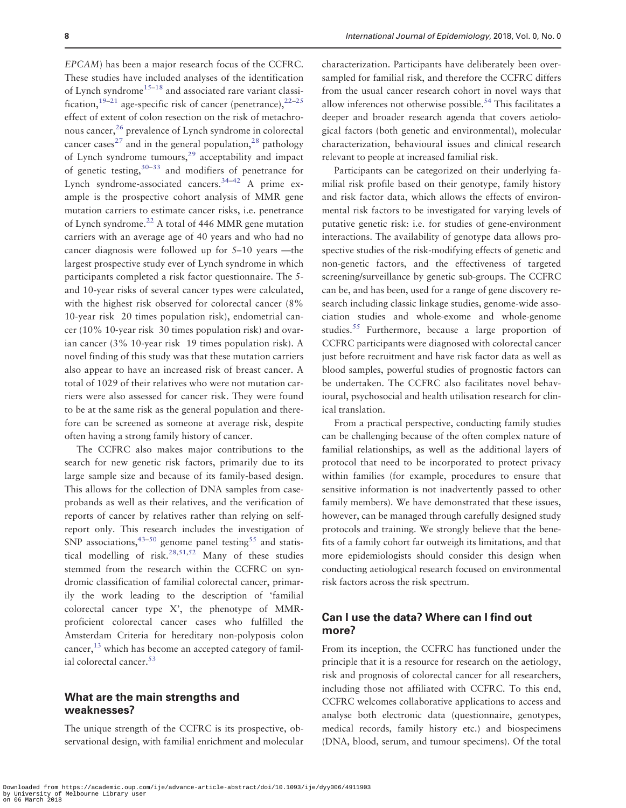<span id="page-7-0"></span>EPCAM) has been a major research focus of the CCFRC. These studies have included analyses of the identification of Lynch syndrome<sup>[15](#page-9-0)–[18](#page-9-0)</sup> and associated rare variant classi-fication,<sup>[19](#page-9-0)–[21](#page-9-0)</sup> age-specific risk of cancer (penetrance),<sup>[22–25](#page-9-0)</sup> effect of extent of colon resection on the risk of metachro-nous cancer,<sup>[26](#page-9-0)</sup> prevalence of Lynch syndrome in colorectal cancer cases<sup>[27](#page-9-0)</sup> and in the general population,<sup>[28](#page-9-0)</sup> pathology of Lynch syndrome tumours,[29](#page-9-0) acceptability and impact of genetic testing,[30–33](#page-9-0) and modifiers of penetrance for Lynch syndrome-associated cancers.<sup>[34](#page-10-0)-[42](#page-10-0)</sup> A prime example is the prospective cohort analysis of MMR gene mutation carriers to estimate cancer risks, i.e. penetrance of Lynch syndrome.[22](#page-9-0) A total of 446 MMR gene mutation carriers with an average age of 40 years and who had no cancer diagnosis were followed up for 5–10 years —the largest prospective study ever of Lynch syndrome in which participants completed a risk factor questionnaire. The 5 and 10-year risks of several cancer types were calculated, with the highest risk observed for colorectal cancer (8% 10-year risk 20 times population risk), endometrial cancer (10% 10-year risk 30 times population risk) and ovarian cancer (3% 10-year risk 19 times population risk). A novel finding of this study was that these mutation carriers also appear to have an increased risk of breast cancer. A total of 1029 of their relatives who were not mutation carriers were also assessed for cancer risk. They were found to be at the same risk as the general population and therefore can be screened as someone at average risk, despite often having a strong family history of cancer.

The CCFRC also makes major contributions to the search for new genetic risk factors, primarily due to its large sample size and because of its family-based design. This allows for the collection of DNA samples from caseprobands as well as their relatives, and the verification of reports of cancer by relatives rather than relying on selfreport only. This research includes the investigation of SNP associations,  $43-50$  $43-50$  $43-50$  genome panel testing<sup>[55](#page-10-0)</sup> and statis-tical modelling of risk.<sup>28,[51,52](#page-10-0)</sup> Many of these studies stemmed from the research within the CCFRC on syndromic classification of familial colorectal cancer, primarily the work leading to the description of 'familial colorectal cancer type X', the phenotype of MMRproficient colorectal cancer cases who fulfilled the Amsterdam Criteria for hereditary non-polyposis colon cancer, $^{13}$  which has become an accepted category of famil-ial colorectal cancer.<sup>[53](#page-10-0)</sup>

# What are the main strengths and weaknesses?

The unique strength of the CCFRC is its prospective, observational design, with familial enrichment and molecular characterization. Participants have deliberately been oversampled for familial risk, and therefore the CCFRC differs from the usual cancer research cohort in novel ways that allow inferences not otherwise possible.<sup>54</sup> This facilitates a deeper and broader research agenda that covers aetiological factors (both genetic and environmental), molecular characterization, behavioural issues and clinical research relevant to people at increased familial risk.

Participants can be categorized on their underlying familial risk profile based on their genotype, family history and risk factor data, which allows the effects of environmental risk factors to be investigated for varying levels of putative genetic risk: i.e. for studies of gene-environment interactions. The availability of genotype data allows prospective studies of the risk-modifying effects of genetic and non-genetic factors, and the effectiveness of targeted screening/surveillance by genetic sub-groups. The CCFRC can be, and has been, used for a range of gene discovery research including classic linkage studies, genome-wide association studies and whole-exome and whole-genome studies.[55](#page-10-0) Furthermore, because a large proportion of CCFRC participants were diagnosed with colorectal cancer just before recruitment and have risk factor data as well as blood samples, powerful studies of prognostic factors can be undertaken. The CCFRC also facilitates novel behavioural, psychosocial and health utilisation research for clinical translation.

From a practical perspective, conducting family studies can be challenging because of the often complex nature of familial relationships, as well as the additional layers of protocol that need to be incorporated to protect privacy within families (for example, procedures to ensure that sensitive information is not inadvertently passed to other family members). We have demonstrated that these issues, however, can be managed through carefully designed study protocols and training. We strongly believe that the benefits of a family cohort far outweigh its limitations, and that more epidemiologists should consider this design when conducting aetiological research focused on environmental risk factors across the risk spectrum.

# Can I use the data? Where can I find out more?

From its inception, the CCFRC has functioned under the principle that it is a resource for research on the aetiology, risk and prognosis of colorectal cancer for all researchers, including those not affiliated with CCFRC. To this end, CCFRC welcomes collaborative applications to access and analyse both electronic data (questionnaire, genotypes, medical records, family history etc.) and biospecimens (DNA, blood, serum, and tumour specimens). Of the total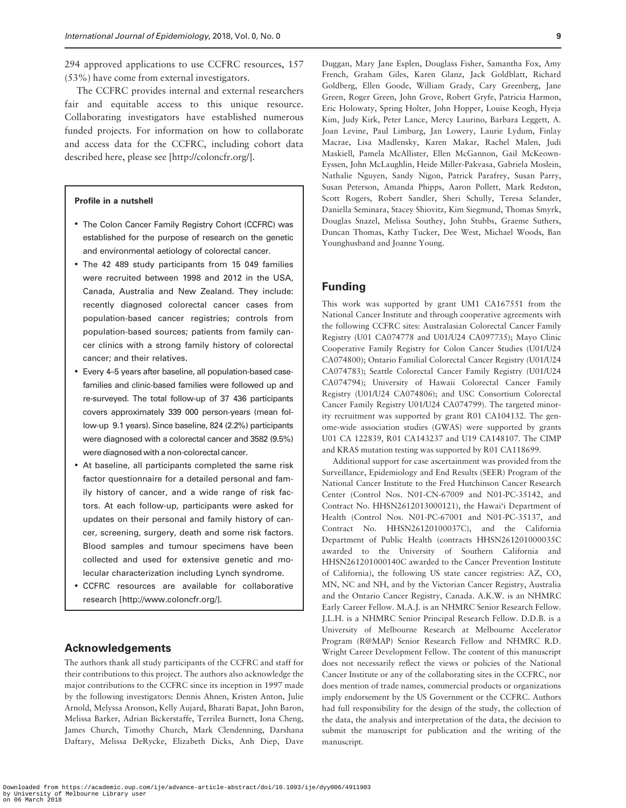294 approved applications to use CCFRC resources, 157 (53%) have come from external investigators.

The CCFRC provides internal and external researchers fair and equitable access to this unique resource. Collaborating investigators have established numerous funded projects. For information on how to collaborate and access data for the CCFRC, including cohort data described here, please see [\[http://coloncfr.org/\]](http://coloncfr.org/).

#### Profile in a nutshell

- The Colon Cancer Family Registry Cohort (CCFRC) was established for the purpose of research on the genetic and environmental aetiology of colorectal cancer.
- The 42 489 study participants from 15 049 families were recruited between 1998 and 2012 in the USA, Canada, Australia and New Zealand. They include: recently diagnosed colorectal cancer cases from population-based cancer registries; controls from population-based sources; patients from family cancer clinics with a strong family history of colorectal cancer; and their relatives.
- Every 4–5 years after baseline, all population-based casefamilies and clinic-based families were followed up and re-surveyed. The total follow-up of 37 436 participants covers approximately 339 000 person-years (mean follow-up 9.1 years). Since baseline, 824 (2.2%) participants were diagnosed with a colorectal cancer and 3582 (9.5%) were diagnosed with a non-colorectal cancer.
- At baseline, all participants completed the same risk factor questionnaire for a detailed personal and family history of cancer, and a wide range of risk factors. At each follow-up, participants were asked for updates on their personal and family history of cancer, screening, surgery, death and some risk factors. Blood samples and tumour specimens have been collected and used for extensive genetic and molecular characterization including Lynch syndrome.
- CCFRC resources are available for collaborative research [<http://www.coloncfr.org/>].

# Acknowledgements

The authors thank all study participants of the CCFRC and staff for their contributions to this project. The authors also acknowledge the major contributions to the CCFRC since its inception in 1997 made by the following investigators: Dennis Ahnen, Kristen Anton, Julie Arnold, Melyssa Aronson, Kelly Aujard, Bharati Bapat, John Baron, Melissa Barker, Adrian Bickerstaffe, Terrilea Burnett, Iona Cheng, James Church, Timothy Church, Mark Clendenning, Darshana Daftary, Melissa DeRycke, Elizabeth Dicks, Anh Diep, Dave

Duggan, Mary Jane Esplen, Douglass Fisher, Samantha Fox, Amy French, Graham Giles, Karen Glanz, Jack Goldblatt, Richard Goldberg, Ellen Goode, William Grady, Cary Greenberg, Jane Green, Roger Green, John Grove, Robert Gryfe, Patricia Harmon, Eric Holowaty, Spring Holter, John Hopper, Louise Keogh, Hyeja Kim, Judy Kirk, Peter Lance, Mercy Laurino, Barbara Leggett, A. Joan Levine, Paul Limburg, Jan Lowery, Laurie Lydum, Finlay Macrae, Lisa Madlensky, Karen Makar, Rachel Malen, Judi Maskiell, Pamela McAllister, Ellen McGannon, Gail McKeown-Eyssen, John McLaughlin, Heide Miller-Pakvasa, Gabriela Moslein, Nathalie Nguyen, Sandy Nigon, Patrick Parafrey, Susan Parry, Susan Peterson, Amanda Phipps, Aaron Pollett, Mark Redston, Scott Rogers, Robert Sandler, Sheri Schully, Teresa Selander, Daniella Seminara, Stacey Shiovitz, Kim Siegmund, Thomas Smyrk, Douglas Snazel, Melissa Southey, John Stubbs, Graeme Suthers, Duncan Thomas, Kathy Tucker, Dee West, Michael Woods, Ban Younghusband and Joanne Young.

#### Funding

This work was supported by grant UM1 CA167551 from the National Cancer Institute and through cooperative agreements with the following CCFRC sites: Australasian Colorectal Cancer Family Registry (U01 CA074778 and U01/U24 CA097735); Mayo Clinic Cooperative Family Registry for Colon Cancer Studies (U01/U24 CA074800); Ontario Familial Colorectal Cancer Registry (U01/U24 CA074783); Seattle Colorectal Cancer Family Registry (U01/U24 CA074794); University of Hawaii Colorectal Cancer Family Registry (U01/U24 CA074806); and USC Consortium Colorectal Cancer Family Registry U01/U24 CA074799). The targeted minority recruitment was supported by grant R01 CA104132. The genome-wide association studies (GWAS) were supported by grants U01 CA 122839, R01 CA143237 and U19 CA148107. The CIMP and KRAS mutation testing was supported by R01 CA118699.

Additional support for case ascertainment was provided from the Surveillance, Epidemiology and End Results (SEER) Program of the National Cancer Institute to the Fred Hutchinson Cancer Research Center (Control Nos. N01-CN-67009 and N01-PC-35142, and Contract No. HHSN2612013000121), the Hawai'i Department of Health (Control Nos. N01-PC-67001 and N01-PC-35137, and Contract No. HHSN26120100037C), and the California Department of Public Health (contracts HHSN261201000035C awarded to the University of Southern California and HHSN261201000140C awarded to the Cancer Prevention Institute of California), the following US state cancer registries: AZ, CO, MN, NC and NH, and by the Victorian Cancer Registry, Australia and the Ontario Cancer Registry, Canada. A.K.W. is an NHMRC Early Career Fellow. M.A.J. is an NHMRC Senior Research Fellow. J.L.H. is a NHMRC Senior Principal Research Fellow. D.D.B. is a University of Melbourne Research at Melbourne Accelerator Program (R@MAP) Senior Research Fellow and NHMRC R.D. Wright Career Development Fellow. The content of this manuscript does not necessarily reflect the views or policies of the National Cancer Institute or any of the collaborating sites in the CCFRC, nor does mention of trade names, commercial products or organizations imply endorsement by the US Government or the CCFRC. Authors had full responsibility for the design of the study, the collection of the data, the analysis and interpretation of the data, the decision to submit the manuscript for publication and the writing of the manuscript.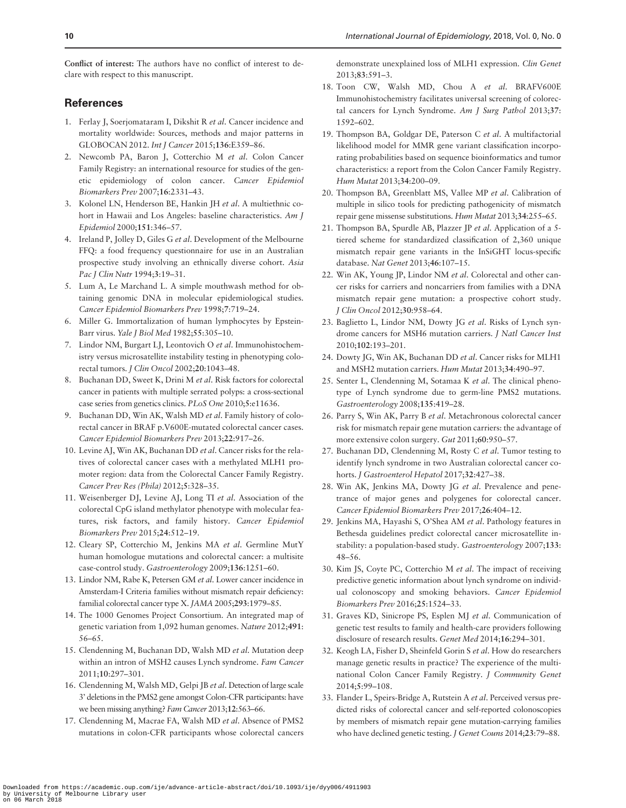<span id="page-9-0"></span>Conflict of interest: The authors have no conflict of interest to declare with respect to this manuscript.

# **References**

- [1.](#page-0-0) Ferlay J, Soerjomataram I, Dikshit R et al. Cancer incidence and mortality worldwide: Sources, methods and major patterns in GLOBOCAN 2012. Int J Cancer 2015;136:E359–86.
- [2.](#page-1-0) Newcomb PA, Baron J, Cotterchio M et al. Colon Cancer Family Registry: an international resource for studies of the genetic epidemiology of colon cancer. Cancer Epidemiol Biomarkers Prev 2007;16:2331–43.
- [3.](#page-3-0) Kolonel LN, Henderson BE, Hankin JH et al. A multiethnic cohort in Hawaii and Los Angeles: baseline characteristics. Am J Epidemiol 2000;151:346–57.
- [4.](#page-3-0) Ireland P, Jolley D, Giles G et al. Development of the Melbourne FFQ: a food frequency questionnaire for use in an Australian prospective study involving an ethnically diverse cohort. Asia Pac J Clin Nutr 1994;3:19–31.
- [5.](#page-5-0) Lum A, Le Marchand L. A simple mouthwash method for obtaining genomic DNA in molecular epidemiological studies. Cancer Epidemiol Biomarkers Prev 1998;7:719–24.
- [6.](#page-5-0) Miller G. Immortalization of human lymphocytes by Epstein-Barr virus. Yale J Biol Med 1982;55:305–10.
- [7.](#page-5-0) Lindor NM, Burgart LJ, Leontovich O et al. Immunohistochemistry versus microsatellite instability testing in phenotyping colorectal tumors. J Clin Oncol 2002;20:1043–48.
- [8.](#page-5-0) Buchanan DD, Sweet K, Drini M et al. Risk factors for colorectal cancer in patients with multiple serrated polyps: a cross-sectional case series from genetics clinics. PLoS One 2010;5:e11636.
- [9.](#page-5-0) Buchanan DD, Win AK, Walsh MD et al. Family history of colorectal cancer in BRAF p.V600E-mutated colorectal cancer cases. Cancer Epidemiol Biomarkers Prev 2013;22:917–26.
- [10.](#page-5-0) Levine AJ, Win AK, Buchanan DD et al. Cancer risks for the relatives of colorectal cancer cases with a methylated MLH1 promoter region: data from the Colorectal Cancer Family Registry. Cancer Prev Res (Phila) 2012;5:328–35.
- [11.](#page-5-0) Weisenberger DJ, Levine AJ, Long TI et al. Association of the colorectal CpG island methylator phenotype with molecular features, risk factors, and family history. Cancer Epidemiol Biomarkers Prev 2015;24:512–19.
- [12.](#page-6-0) Cleary SP, Cotterchio M, Jenkins MA et al. Germline MutY human homologue mutations and colorectal cancer: a multisite case-control study. Gastroenterology 2009;136:1251–60.
- [13.](#page-6-0) Lindor NM, Rabe K, Petersen GM et al. Lower cancer incidence in Amsterdam-I Criteria families without mismatch repair deficiency: familial colorectal cancer type X. JAMA 2005;293:1979–85.
- [14.](#page-6-0) The 1000 Genomes Project Consortium. An integrated map of genetic variation from 1,092 human genomes. Nature 2012;491: 56–65.
- 15. Clendenning M, Buchanan DD, Walsh MD et al. Mutation deep within an intron of MSH2 causes Lynch syndrome. Fam Cancer 2011;10:297–301.
- 16. Clendenning M, Walsh MD, Gelpi JB et al. Detection of large scale 3' deletions in the PMS2 gene amongst Colon-CFR participants: have we been missing anything? Fam Cancer 2013;12:563–66.
- 17. Clendenning M, Macrae FA, Walsh MD et al. Absence of PMS2 mutations in colon-CFR participants whose colorectal cancers

demonstrate unexplained loss of MLH1 expression. Clin Genet 2013;83:591–3.

- 18. Toon CW, Walsh MD, Chou A et al. BRAFV600E Immunohistochemistry facilitates universal screening of colorectal cancers for Lynch Syndrome. Am J Surg Pathol 2013;37: 1592–602.
- 19. Thompson BA, Goldgar DE, Paterson C et al. A multifactorial likelihood model for MMR gene variant classification incorporating probabilities based on sequence bioinformatics and tumor characteristics: a report from the Colon Cancer Family Registry. Hum Mutat 2013;34:200–09.
- 20. Thompson BA, Greenblatt MS, Vallee MP et al. Calibration of multiple in silico tools for predicting pathogenicity of mismatch repair gene missense substitutions. Hum Mutat 2013;34:255–65.
- 21. Thompson BA, Spurdle AB, Plazzer JP et al. Application of a 5 tiered scheme for standardized classification of 2,360 unique mismatch repair gene variants in the InSiGHT locus-specific database. Nat Genet 2013;46:107–15.
- [22.](#page-7-0) Win AK, Young JP, Lindor NM et al. Colorectal and other cancer risks for carriers and noncarriers from families with a DNA mismatch repair gene mutation: a prospective cohort study. J Clin Oncol 2012;30:958–64.
- 23. Baglietto L, Lindor NM, Dowty JG et al. Risks of Lynch syndrome cancers for MSH6 mutation carriers. J Natl Cancer Inst 2010;102:193–201.
- 24. Dowty JG, Win AK, Buchanan DD et al. Cancer risks for MLH1 and MSH2 mutation carriers. Hum Mutat 2013;34:490–97.
- 25. Senter L, Clendenning M, Sotamaa K et al. The clinical phenotype of Lynch syndrome due to germ-line PMS2 mutations. Gastroenterology 2008;135:419–28.
- [26.](#page-7-0) Parry S, Win AK, Parry B et al. Metachronous colorectal cancer risk for mismatch repair gene mutation carriers: the advantage of more extensive colon surgery. Gut 2011;60:950-57.
- [27.](#page-7-0) Buchanan DD, Clendenning M, Rosty C et al. Tumor testing to identify lynch syndrome in two Australian colorectal cancer cohorts. J Gastroenterol Hepatol 2017;32:427-38.
- [28.](#page-7-0) Win AK, Jenkins MA, Dowty JG et al. Prevalence and penetrance of major genes and polygenes for colorectal cancer. Cancer Epidemiol Biomarkers Prev 2017;26:404–12.
- [29.](#page-7-0) Jenkins MA, Hayashi S, O'Shea AM et al. Pathology features in Bethesda guidelines predict colorectal cancer microsatellite instability: a population-based study. Gastroenterology 2007;133: 48–56.
- 30. Kim JS, Coyte PC, Cotterchio M et al. The impact of receiving predictive genetic information about lynch syndrome on individual colonoscopy and smoking behaviors. Cancer Epidemiol Biomarkers Prev 2016;25:1524–33.
- 31. Graves KD, Sinicrope PS, Esplen MJ et al. Communication of genetic test results to family and health-care providers following disclosure of research results. Genet Med 2014;16:294–301.
- 32. Keogh LA, Fisher D, Sheinfeld Gorin S et al. How do researchers manage genetic results in practice? The experience of the multinational Colon Cancer Family Registry. J Community Genet 2014;5:99–108.
- 33. Flander L, Speirs-Bridge A, Rutstein A et al. Perceived versus predicted risks of colorectal cancer and self-reported colonoscopies by members of mismatch repair gene mutation-carrying families who have declined genetic testing. J Genet Couns 2014;23:79–88.